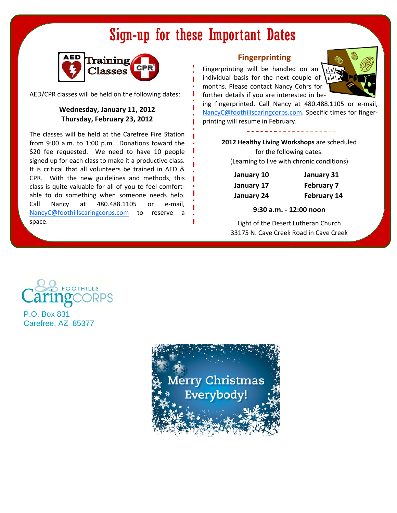# Sign-up for these Important Dates



AED/CPR classes will be held on the following dates:

### **Wednesday, January 11, 2012 Thursday, February 23, 2012**

The classes will be held at the Carefree Fire Station from 9:00 a.m. to 1:00 p.m. Donations toward the \$20 fee requested. We need to have 10 people signed up for each class to make it a productive class. It is critical that all volunteers be trained in AED & CPR. With the new guidelines and methods, this class is quite valuable for all of you to feel comfort‐ able to do something when someone needs help. Call Nancy at 480.488.1105 or e‐mail, NancyC@foothillscaringcorps.com to reserve a space.

## **Fingerprinting**

Fingerprinting will be handled on an individual basis for the next couple of months. Please contact Nancy Cohrs for further details if you are interested in be‐



ing fingerprinted. Call Nancy at 480.488.1105 or e-mail, NancyC@foothillscaringcorps.com. Specific times for finger‐ printing will resume in February.

> **2012 Healthy Living Workshops** are scheduled for the following dates: (Learning to live with chronic conditions)

| January 10 | January 31         |
|------------|--------------------|
| January 17 | <b>February 7</b>  |
| January 24 | <b>February 14</b> |

### **9:30 a.m. ‐ 12:00 noon**

Light of the Desert Lutheran Church 33175 N. Cave Creek Road in Cave Creek



P.O. Box 831 Carefree, AZ 85377

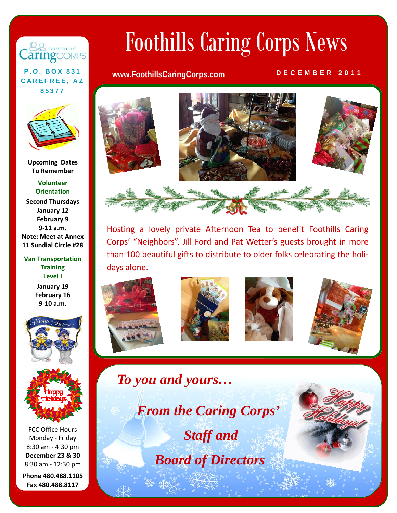# 88 FOOTHILLS aringcorps

**CAREFREE, AZ 85377** 



**Upcoming** Dates **To Remember**

**Volunteer Orientation Second Thursdays**

**January 12 February 9 9‐11 a.m. Note: Meet at Annex 11 Sundial Circle #28**

**Van Transportation Training Level I January 19 February 16 9‐10 a.m.**





FCC Office Hours Monday ‐ Friday 8:30 am ‐ 4:30 pm **December 23 & 30** 8:30 am ‐ 12:30 pm

**Phone 480.488.1105 Fax 480.488.8117**

# Foothills Caring Corps News

# **P.O. BOX 831 www.FoothillsCaringCorps.com DECEMBER 2011**



Hosting a lovely private Afternoon Tea to benefit Foothills Caring Corps' "Neighbors", Jill Ford and Pat Wetter's guests brought in more than 100 beautiful gifts to distribute to older folks celebrating the holi‐ days alone.









*To you and yours…*

 *From the Caring Corps' Staff and Board of Directors*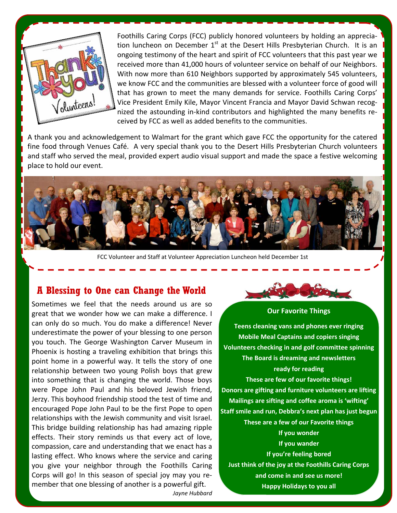

Foothills Caring Corps (FCC) publicly honored volunteers by holding an apprecia‐ tion luncheon on December  $1<sup>st</sup>$  at the Desert Hills Presbyterian Church. It is an ongoing testimony of the heart and spirit of FCC volunteers that this past year we received more than 41,000 hours of volunteer service on behalf of our Neighbors. With now more than 610 Neighbors supported by approximately 545 volunteers, we know FCC and the communities are blessed with a volunteer force of good will that has grown to meet the many demands for service. Foothills Caring Corps' Vice President Emily Kile, Mayor Vincent Francia and Mayor David Schwan recog‐ nized the astounding in‐kind contributors and highlighted the many benefits re‐ ceived by FCC as well as added benefits to the communities.

A thank you and acknowledgement to Walmart for the grant which gave FCC the opportunity for the catered fine food through Venues Café. A very special thank you to the Desert Hills Presbyterian Church volunteers and staff who served the meal, provided expert audio visual support and made the space a festive welcoming place to hold our event.



FCC Volunteer and Staff at Volunteer Appreciation Luncheon held December 1st

# **A Blessing to One can Change the World**

Sometimes we feel that the needs around us are so great that we wonder how we can make a difference. I can only do so much. You do make a difference! Never underestimate the power of your blessing to one person you touch. The George Washington Carver Museum in Phoenix is hosting a traveling exhibition that brings this point home in a powerful way. It tells the story of one relationship between two young Polish boys that grew into something that is changing the world. Those boys were Pope John Paul and his beloved Jewish friend, Jerzy. This boyhood friendship stood the test of time and encouraged Pope John Paul to be the first Pope to open relationships with the Jewish community and visit Israel. This bridge building relationship has had amazing ripple effects. Their story reminds us that every act of love, compassion, care and understanding that we enact has a lasting effect. Who knows where the service and caring you give your neighbor through the Foothills Caring Corps will go! In this season of special joy may you re‐ member that one blessing of another is a powerful gift.



### **Our Favorite Things**

**Teens cleaning vans and phones ever ringing Mobile Meal Captains and copiers singing Volunteers checking in and golf committee spinning The Board is dreaming and newsletters ready for reading These are few of our favorite things! Donors are gifting and furniture volunteers are lifting Mailings are sifting and coffee aroma is 'wifting' Staff smile and run, Debbra's next plan has just begun These are a few of our Favorite things If you wonder If you wander If you're feeling bored Just think of the joy at the Foothills Caring Corps and come in and see us more!**

**Happy Holidays to you all**

*Jayne Hubbard*